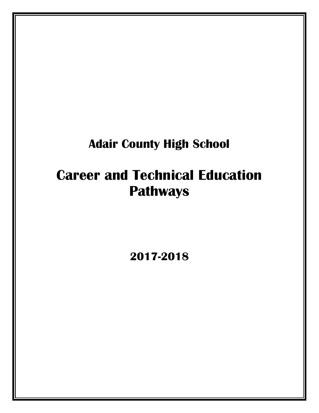# **Adair County High School**

# **Career and Technical Education Pathways**

**2017-2018**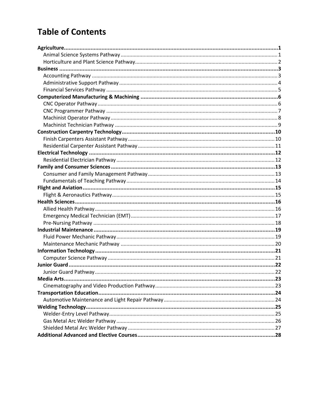# **Table of Contents**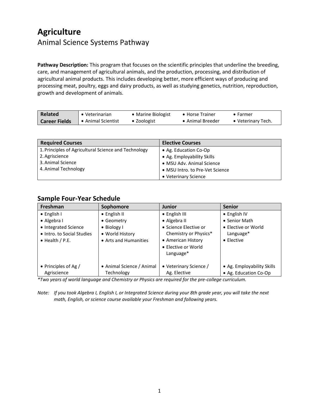### <span id="page-2-1"></span><span id="page-2-0"></span>**Agriculture** Animal Science Systems Pathway

**Pathway Description:** This program that focuses on the scientific principles that underline the breeding, care, and management of agricultural animals, and the production, processing, and distribution of agricultural animal products. This includes developing better, more efficient ways of producing and processing meat, poultry, eggs and dairy products, as well as studying genetics, nutrition, reproduction, growth and development of animals.

| <b>Related</b>       | • Veterinarian     | • Marine Biologist  | • Horse Trainer  | $\bullet$ Farmer   |
|----------------------|--------------------|---------------------|------------------|--------------------|
| <b>Career Fields</b> | • Animal Scientist | $\bullet$ Zoologist | • Animal Breeder | • Veterinary Tech. |

| <b>Required Courses</b>                              | <b>Elective Courses</b>         |
|------------------------------------------------------|---------------------------------|
| 1. Principles of Agricultural Science and Technology | • Ag. Education Co-Op           |
| 2. Agriscience                                       | • Ag. Employability Skills      |
| 3. Animal Science                                    | • MSU Adv. Animal Science       |
| 4. Animal Technology                                 | • MSU Intro. to Pre-Vet Science |
|                                                      | • Veterinary Science            |

#### **Sample Four-Year Schedule**

| Freshman                   | Sophomore                 | <b>Junior</b>          | <b>Senior</b>              |
|----------------------------|---------------------------|------------------------|----------------------------|
| $\bullet$ English I        | $\bullet$ English II      | • English III          | $\bullet$ English IV       |
| • Algebra I                | • Geometry                | • Algebra II           | • Senior Math              |
| • Integrated Science       | $\bullet$ Biology I       | • Science Elective or  | • Elective or World        |
| • Intro. to Social Studies | • World History           | Chemistry or Physics*  | Language*                  |
| $\bullet$ Health / P.E.    | • Arts and Humanities     | • American History     | $\bullet$ Flective         |
|                            |                           | • Elective or World    |                            |
|                            |                           | Language*              |                            |
|                            |                           |                        |                            |
| • Principles of Ag /       | • Animal Science / Animal | • Veterinary Science / | • Ag. Employability Skills |
| Agriscience                | Technology                | Ag. Elective           | • Ag. Education Co-Op      |

*\*Two years of world language and Chemistry or Physics are required for the pre-college curriculum.*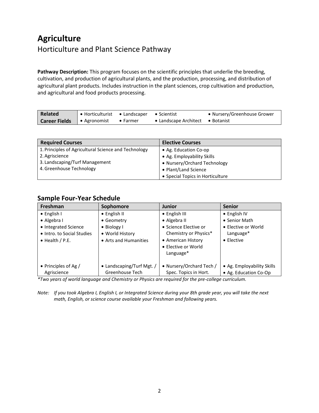### <span id="page-3-0"></span>**Agriculture** Horticulture and Plant Science Pathway

**Pathway Description:** This program focuses on the scientific principles that underlie the breeding, cultivation, and production of agricultural plants, and the production, processing, and distribution of agricultural plant products. Includes instruction in the plant sciences, crop cultivation and production, and agricultural and food products processing.

| <b>Related</b>       | • Horticulturist • Landscaper |                  | $\bullet$ Scientist              | • Nursery/Greenhouse Grower |
|----------------------|-------------------------------|------------------|----------------------------------|-----------------------------|
| <b>Career Fields</b> | • Agronomist                  | $\bullet$ Farmer | • Landscape Architect • Botanist |                             |

| <b>Required Courses</b>                              | <b>Elective Courses</b>          |
|------------------------------------------------------|----------------------------------|
| 1. Principles of Agricultural Science and Technology | • Ag. Education Co-op            |
| 2. Agriscience                                       | • Ag. Employability Skills       |
| 3. Landscaping/Turf Management                       | • Nursery/Orchard Technology     |
| 4. Greenhouse Technology                             | • Plant/Land Science             |
|                                                      | • Special Topics in Horticulture |

#### **Sample Four-Year Schedule**

| Freshman                   | Sophomore                 | <b>Junior</b>            | <b>Senior</b>              |
|----------------------------|---------------------------|--------------------------|----------------------------|
| $\bullet$ English I        | $\bullet$ English II      | $\bullet$ English III    | $\bullet$ English IV       |
| $\bullet$ Algebra I        | • Geometry                | • Algebra II             | • Senior Math              |
| • Integrated Science       | $\bullet$ Biology I       | • Science Elective or    | • Elective or World        |
| • Intro. to Social Studies | • World History           | Chemistry or Physics*    | Language*                  |
| $\bullet$ Health / P.E.    | • Arts and Humanities     | • American History       | $\bullet$ Elective         |
|                            |                           | • Elective or World      |                            |
|                            |                           | Language*                |                            |
|                            |                           |                          |                            |
| • Principles of Ag /       | • Landscaping/Turf Mgt. / | • Nursery/Orchard Tech / | • Ag. Employability Skills |
| Agriscience                | Greenhouse Tech           | Spec. Topics in Hort.    | • Ag. Education Co-Op      |

*\*Two years of world language and Chemistry or Physics are required for the pre-college curriculum.*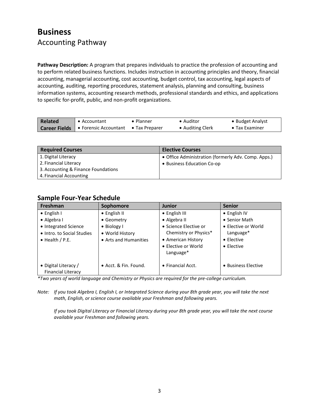### <span id="page-4-1"></span><span id="page-4-0"></span>**Business** Accounting Pathway

**Pathway Description:** A program that prepares individuals to practice the profession of accounting and to perform related business functions. Includes instruction in accounting principles and theory, financial accounting, managerial accounting, cost accounting, budget control, tax accounting, legal aspects of accounting, auditing, reporting procedures, statement analysis, planning and consulting, business information systems, accounting research methods, professional standards and ethics, and applications to specific for-profit, public, and non-profit organizations.

| Related | • Accountant                                 | • Planner              | • Auditor        | • Budget Analyst       |
|---------|----------------------------------------------|------------------------|------------------|------------------------|
|         | <b>Career Fields   •</b> Forensic Accountant | $\bullet$ Tax Preparer | • Auditing Clerk | $\bullet$ Tax Examiner |

| <b>Required Courses</b>             | <b>Elective Courses</b>                             |
|-------------------------------------|-----------------------------------------------------|
| 1. Digital Literacy                 | • Office Administration (formerly Adv. Comp. Apps.) |
| 2. Financial Literacy               | • Business Education Co-op                          |
| 3. Accounting & Finance Foundations |                                                     |
| 4. Financial Accounting             |                                                     |

#### **Sample Four-Year Schedule**

| <b>Freshman</b>            | Sophomore             | <b>Junior</b>             | <b>Senior</b>        |
|----------------------------|-----------------------|---------------------------|----------------------|
| $\bullet$ English I        | $\bullet$ English II  | • English III             | $\bullet$ English IV |
| • Algebra I                | • Geometry            | • Algebra II              | • Senior Math        |
| • Integrated Science       | $\bullet$ Biology I   | • Science Elective or     | • Elective or World  |
| • Intro. to Social Studies | • World History       | Chemistry or Physics*     | Language*            |
| $\bullet$ Health / P.E.    | • Arts and Humanities | • American History        | • Elective           |
|                            |                       | • Elective or World       | $\bullet$ Elective   |
|                            |                       | Language*                 |                      |
|                            |                       |                           |                      |
| • Digital Literacy /       | • Acct. & Fin. Found. | $\bullet$ Financial Acct. | • Business Elective  |
| <b>Financial Literacy</b>  |                       |                           |                      |

*\*Two years of world language and Chemistry or Physics are required for the pre-college curriculum.*

*Note: If you took Algebra I, English I, or Integrated Science during your 8th grade year, you will take the next math, English, or science course available your Freshman and following years.*

*If you took Digital Literacy or Financial Literacy during your 8th grade year, you will take the next course available your Freshman and following years.*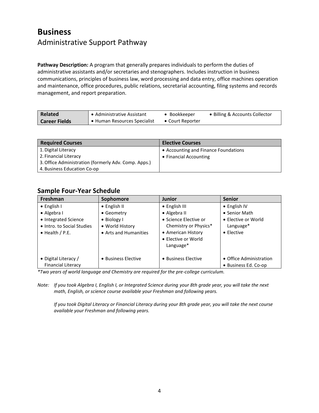### <span id="page-5-0"></span>**Business** Administrative Support Pathway

**Pathway Description:** A program that generally prepares individuals to perform the duties of administrative assistants and/or secretaries and stenographers. Includes instruction in business communications, principles of business law, word processing and data entry, office machines operation and maintenance, office procedures, public relations, secretarial accounting, filing systems and records management, and report preparation.

| Related              | • Administrative Assistant   | Bookkeeper       | • Billing & Accounts Collector |
|----------------------|------------------------------|------------------|--------------------------------|
| <b>Career Fields</b> | • Human Resources Specialist | • Court Reporter |                                |

| <b>Required Courses</b>                              | <b>Elective Courses</b>              |
|------------------------------------------------------|--------------------------------------|
| 1. Digital Literacy                                  | • Accounting and Finance Foundations |
| 2. Financial Literacy                                | • Financial Accounting               |
| 3. Office Administration (formerly Adv. Comp. Apps.) |                                      |
| 4. Business Education Co-op                          |                                      |

#### **Sample Four-Year Schedule**

| Freshman                   | Sophomore             | <b>Junior</b>         | <b>Senior</b>           |
|----------------------------|-----------------------|-----------------------|-------------------------|
| $\bullet$ English I        | • English II          | • English III         | $\bullet$ English IV    |
| • Algebra I                | • Geometry            | • Algebra II          | • Senior Math           |
| • Integrated Science       | • Biology I           | • Science Elective or | • Elective or World     |
| • Intro. to Social Studies | • World History       | Chemistry or Physics* | Language*               |
| $\bullet$ Health / P.E.    | • Arts and Humanities | • American History    | $\bullet$ Elective      |
|                            |                       | • Elective or World   |                         |
|                            |                       | Language*             |                         |
|                            |                       |                       |                         |
| • Digital Literacy /       | • Business Elective   | • Business Elective   | • Office Administration |
| <b>Financial Literacy</b>  |                       |                       | • Business Ed. Co-op    |

*\*Two years of world language and Chemistry are required for the pre-college curriculum.*

*Note: If you took Algebra I, English I, or Integrated Science during your 8th grade year, you will take the next math, English, or science course available your Freshman and following years.*

*If you took Digital Literacy or Financial Literacy during your 8th grade year, you will take the next course available your Freshman and following years.*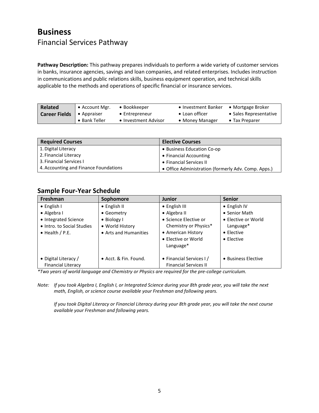### <span id="page-6-0"></span>**Business** Financial Services Pathway

**Pathway Description:** This pathway prepares individuals to perform a wide variety of customer services in banks, insurance agencies, savings and loan companies, and related enterprises. Includes instruction in communications and public relations skills, business equipment operation, and technical skills applicable to the methods and operations of specific financial or insurance services.

| Related              | • Account Mgr.      | • Bookkeeper         | • Investment Banker | • Mortgage Broker      |
|----------------------|---------------------|----------------------|---------------------|------------------------|
| <b>Career Fields</b> | $\bullet$ Appraiser | • Entrepreneur       | • Loan officer      | • Sales Representative |
|                      | • Bank Teller       | • Investment Advisor | • Money Manager     | $\bullet$ Tax Preparer |

| <b>Required Courses</b>               | <b>Elective Courses</b>                             |
|---------------------------------------|-----------------------------------------------------|
| 1. Digital Literacy                   | • Business Education Co-op                          |
| 2. Financial Literacy                 | • Financial Accounting                              |
| 3. Financial Services                 | • Financial Services II                             |
| 4. Accounting and Finance Foundations | • Office Administration (formerly Adv. Comp. Apps.) |

#### **Sample Four-Year Schedule**

| <b>Freshman</b>            | Sophomore             | <b>Junior</b>                | <b>Senior</b>        |
|----------------------------|-----------------------|------------------------------|----------------------|
| $\bullet$ English I        | $\bullet$ English II  | • English III                | $\bullet$ English IV |
| • Algebra I                | • Geometry            | • Algebra II                 | • Senior Math        |
| • Integrated Science       | • Biology I           | • Science Elective or        | • Elective or World  |
| • Intro. to Social Studies | • World History       | Chemistry or Physics*        | Language*            |
| $\bullet$ Health / P.E.    | • Arts and Humanities | • American History           | $\bullet$ Elective   |
|                            |                       | • Elective or World          | $\bullet$ Elective   |
|                            |                       | Language*                    |                      |
|                            |                       |                              |                      |
| • Digital Literacy /       | • Acct. & Fin. Found. | • Financial Services I/      | • Business Elective  |
| <b>Financial Literacy</b>  |                       | <b>Financial Services II</b> |                      |

*\*Two years of world language and Chemistry or Physics are required for the pre-college curriculum.*

*Note: If you took Algebra I, English I, or Integrated Science during your 8th grade year, you will take the next math, English, or science course available your Freshman and following years.*

*If you took Digital Literacy or Financial Literacy during your 8th grade year, you will take the next course available your Freshman and following years.*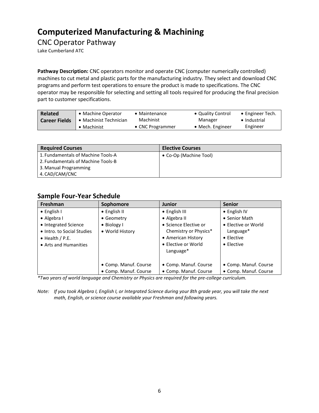<span id="page-7-1"></span><span id="page-7-0"></span>CNC Operator Pathway

Lake Cumberland ATC

**Pathway Description:** CNC operators monitor and operate CNC (computer numerically controlled) machines to cut metal and plastic parts for the manufacturing industry. They select and download CNC programs and perform test operations to ensure the product is made to specifications. The CNC operator may be responsible for selecting and setting all tools required for producing the final precision part to customer specifications.

| <b>Related</b>       | • Machine Operator     | • Maintenance            | • Quality Control | $\bullet$ Engineer Tech. |
|----------------------|------------------------|--------------------------|-------------------|--------------------------|
| <b>Career Fields</b> | • Machinist Technician | Machinist                | Manager           | • Industrial             |
|                      | $\bullet$ Machinist    | $\bullet$ CNC Programmer | • Mech. Engineer  | Engineer                 |

| <b>Required Courses</b>            | <b>Elective Courses</b> |
|------------------------------------|-------------------------|
| 1. Fundamentals of Machine Tools-A | • Co-Op (Machine Tool)  |
| 2. Fundamentals of Machine Tools-B |                         |
| 3. Manual Programming              |                         |
| 4. CAD/CAM/CNC                     |                         |

#### **Sample Four-Year Schedule**

| Freshman                   | Sophomore             | <b>Junior</b>         | <b>Senior</b>         |
|----------------------------|-----------------------|-----------------------|-----------------------|
| $\bullet$ English I        | $\bullet$ English II  | • English III         | $\bullet$ English IV  |
| • Algebra I                | • Geometry            | • Algebra II          | • Senior Math         |
| • Integrated Science       | $\bullet$ Biology I   | • Science Elective or | • Elective or World   |
| • Intro. to Social Studies | • World History       | Chemistry or Physics* | Language*             |
| $\bullet$ Health / P.E.    |                       | • American History    | $\bullet$ Elective    |
| • Arts and Humanities      |                       | • Elective or World   | • Elective            |
|                            |                       | Language*             |                       |
|                            |                       |                       |                       |
|                            | • Comp. Manuf. Course | • Comp. Manuf. Course | • Comp. Manuf. Course |
|                            | • Comp. Manuf. Course | • Comp. Manuf. Course | • Comp. Manuf. Course |

*\*Two years of world language and Chemistry or Physics are required for the pre-college curriculum.*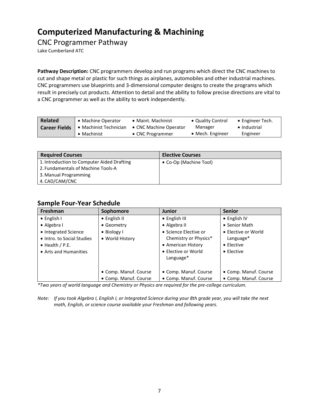### <span id="page-8-0"></span>CNC Programmer Pathway

Lake Cumberland ATC

**Pathway Description:** CNC programmers develop and run programs which direct the CNC machines to cut and shape metal or plastic for such things as airplanes, automobiles and other industrial machines. CNC programmers use blueprints and 3-dimensional computer designs to create the programs which result in precisely cut products. Attention to detail and the ability to follow precise directions are vital to a CNC programmer as well as the ability to work independently.

| Related              | • Machine Operator     | • Maint. Machinist     | • Quality Control | $\bullet$ Engineer Tech. |
|----------------------|------------------------|------------------------|-------------------|--------------------------|
| <b>Career Fields</b> | • Machinist Technician | • CNC Machine Operator | Manager           | • Industrial             |
|                      | • Machinist            | • CNC Programmer       | • Mech. Engineer  | Engineer                 |

| <b>Required Courses</b>                    | <b>Elective Courses</b> |
|--------------------------------------------|-------------------------|
| 1. Introduction to Computer Aided Drafting | • Co-Op (Machine Tool)  |
| 2. Fundamentals of Machine Tools-A         |                         |
| 3. Manual Programming                      |                         |
| 4. CAD/CAM/CNC                             |                         |

#### **Sample Four-Year Schedule**

| Freshman                   | Sophomore             | <b>Junior</b>         | <b>Senior</b>         |
|----------------------------|-----------------------|-----------------------|-----------------------|
| $\bullet$ English I        | • English II          | • English III         | $\bullet$ English IV  |
| • Algebra I                | • Geometry            | • Algebra II          | • Senior Math         |
| • Integrated Science       | • Biology I           | • Science Elective or | • Elective or World   |
| • Intro. to Social Studies | • World History       | Chemistry or Physics* | Language*             |
| $\bullet$ Health / P.E.    |                       | • American History    | $\bullet$ Elective    |
| • Arts and Humanities      |                       | • Elective or World   | • Elective            |
|                            |                       | Language*             |                       |
|                            |                       |                       |                       |
|                            | • Comp. Manuf. Course | • Comp. Manuf. Course | • Comp. Manuf. Course |
|                            | • Comp. Manuf. Course | • Comp. Manuf. Course | • Comp. Manuf. Course |

*\*Two years of world language and Chemistry or Physics are required for the pre-college curriculum.*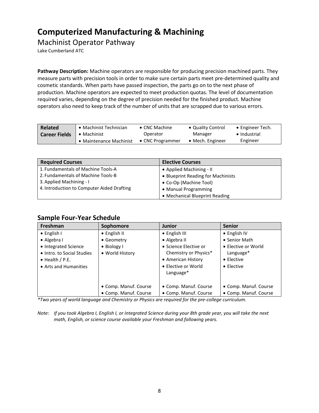### <span id="page-9-0"></span>Machinist Operator Pathway

Lake Cumberland ATC

**Pathway Description:** Machine operators are responsible for producing precision machined parts. They measure parts with precision tools in order to make sure certain parts meet pre-determined quality and cosmetic standards. When parts have passed inspection, the parts go on to the next phase of production. Machine operators are expected to meet production quotas. The level of documentation required varies, depending on the degree of precision needed for the finished product. Machine operators also need to keep track of the number of units that are scrapped due to various errors.

| <b>Related</b>       | • Machinist Technician  | $\bullet$ CNC Machine    | • Quality Control | $\bullet$ Engineer Tech. |
|----------------------|-------------------------|--------------------------|-------------------|--------------------------|
| <b>Career Fields</b> | • Machinist             | Operator                 | Manager           | • Industrial             |
|                      | • Maintenance Machinist | $\bullet$ CNC Programmer | • Mech. Engineer  | Engineer                 |

| <b>Required Courses</b>                    | <b>Elective Courses</b>            |
|--------------------------------------------|------------------------------------|
| 1. Fundamentals of Machine Tools-A         | • Applied Machining - II           |
| 2. Fundamentals of Machine Tools-B         | • Blueprint Reading for Machinists |
| 3. Applied Machining - I                   | • Co-Op (Machine Tool)             |
| 4. Introduction to Computer Aided Drafting | • Manual Programming               |
|                                            | • Mechanical Blueprint Reading     |

#### **Sample Four-Year Schedule**

| Freshman                   | Sophomore             | <b>Junior</b>         | <b>Senior</b>         |
|----------------------------|-----------------------|-----------------------|-----------------------|
| $\bullet$ English I        | $\bullet$ English II  | $\bullet$ English III | $\bullet$ English IV  |
| • Algebra I                | • Geometry            | • Algebra II          | • Senior Math         |
| • Integrated Science       | • Biology I           | • Science Elective or | • Elective or World   |
| • Intro. to Social Studies | • World History       | Chemistry or Physics* | Language*             |
| $\bullet$ Health / P.E.    |                       | • American History    | • Elective            |
| • Arts and Humanities      |                       | • Elective or World   | $\bullet$ Elective    |
|                            |                       | Language*             |                       |
|                            |                       |                       |                       |
|                            | • Comp. Manuf. Course | • Comp. Manuf. Course | • Comp. Manuf. Course |
|                            | • Comp. Manuf. Course | • Comp. Manuf. Course | • Comp. Manuf. Course |

*\*Two years of world language and Chemistry or Physics are required for the pre-college curriculum.*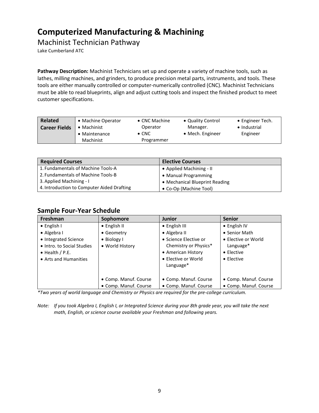### <span id="page-10-0"></span>Machinist Technician Pathway

Lake Cumberland ATC

**Pathway Description:** Machinist Technicians set up and operate a variety of machine tools, such as lathes, milling machines, and grinders, to produce precision metal parts, instruments, and tools. These tools are either manually controlled or computer-numerically controlled (CNC). Machinist Technicians must be able to read blueprints, align and adjust cutting tools and inspect the finished product to meet customer specifications.

| Related              | • Machine Operator  | • CNC Machine | • Quality Control | • Engineer Tech. |
|----------------------|---------------------|---------------|-------------------|------------------|
| <b>Career Fields</b> | $\bullet$ Machinist | Operator      | Manager.          | • Industrial     |
|                      | • Maintenance       | $\bullet$ CNC | • Mech. Engineer  | Engineer         |
|                      | Machinist           | Programmer    |                   |                  |

| <b>Required Courses</b>                    | <b>Elective Courses</b>        |
|--------------------------------------------|--------------------------------|
| 1. Fundamentals of Machine Tools-A         | • Applied Machining - II       |
| 2. Fundamentals of Machine Tools-B         | • Manual Programming           |
| 3. Applied Machining - I                   | • Mechanical Blueprint Reading |
| 4. Introduction to Computer Aided Drafting | • Co-Op (Machine Tool)         |

#### **Sample Four-Year Schedule**

| Freshman                   | Sophomore             | <b>Junior</b>         | <b>Senior</b>         |
|----------------------------|-----------------------|-----------------------|-----------------------|
| $\bullet$ English I        | $\bullet$ English II  | • English III         | • English IV          |
| • Algebra I                | • Geometry            | • Algebra II          | • Senior Math         |
| • Integrated Science       | $\bullet$ Biology I   | • Science Elective or | • Elective or World   |
| • Intro. to Social Studies | • World History       | Chemistry or Physics* | Language*             |
| $\bullet$ Health / P.E.    |                       | • American History    | $\bullet$ Elective    |
| • Arts and Humanities      |                       | • Elective or World   | $\bullet$ Elective    |
|                            |                       | Language*             |                       |
|                            |                       |                       |                       |
|                            | • Comp. Manuf. Course | • Comp. Manuf. Course | • Comp. Manuf. Course |
|                            | • Comp. Manuf. Course | • Comp. Manuf. Course | • Comp. Manuf. Course |

*\*Two years of world language and Chemistry or Physics are required for the pre-college curriculum.*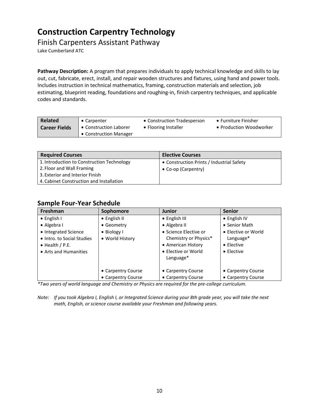### <span id="page-11-0"></span>**Construction Carpentry Technology**

### <span id="page-11-1"></span>Finish Carpenters Assistant Pathway

Lake Cumberland ATC

**Pathway Description:** A program that prepares individuals to apply technical knowledge and skills to lay out, cut, fabricate, erect, install, and repair wooden structures and fixtures, using hand and power tools. Includes instruction in technical mathematics, framing, construction materials and selection, job estimating, blueprint reading, foundations and roughing-in, finish carpentry techniques, and applicable codes and standards.

| <b>Related</b>       | • Carpenter            | • Construction Tradesperson | • Furniture Finisher    |
|----------------------|------------------------|-----------------------------|-------------------------|
| <b>Career Fields</b> | • Construction Laborer | • Flooring Installer        | • Production Woodworker |
|                      | • Construction Manager |                             |                         |

| <b>Required Courses</b>                    | <b>Elective Courses</b>                   |
|--------------------------------------------|-------------------------------------------|
| 1. Introduction to Construction Technology | • Construction Prints / Industrial Safety |
| 2. Floor and Wall Framing                  | • Co-op (Carpentry)                       |
| 3. Exterior and Interior Finish            |                                           |
| 4. Cabinet Construction and Installation   |                                           |

#### **Sample Four-Year Schedule**

| Freshman                   | Sophomore          | <b>Junior</b>         | <b>Senior</b>       |
|----------------------------|--------------------|-----------------------|---------------------|
| • English I                | • English II       | • English III         | • English IV        |
| • Algebra I                | • Geometry         | • Algebra II          | • Senior Math       |
| • Integrated Science       | • Biology I        | • Science Elective or | • Elective or World |
| • Intro. to Social Studies | • World History    | Chemistry or Physics* | Language*           |
| $\bullet$ Health / P.E.    |                    | • American History    | $\bullet$ Flective  |
| • Arts and Humanities      |                    | • Elective or World   | $\bullet$ Elective  |
|                            |                    | Language*             |                     |
|                            |                    |                       |                     |
|                            | • Carpentry Course | • Carpentry Course    | • Carpentry Course  |
|                            | • Carpentry Course | • Carpentry Course    | • Carpentry Course  |

*\*Two years of world language and Chemistry or Physics are required for the pre-college curriculum.*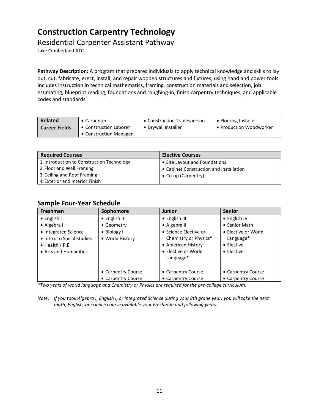## **Construction Carpentry Technology**

### <span id="page-12-0"></span>Residential Carpenter Assistant Pathway

Lake Cumberland ATC

**Pathway Description:** A program that prepares individuals to apply technical knowledge and skills to lay out, cut, fabricate, erect, install, and repair wooden structures and fixtures, using hand and power tools. Includes instruction in technical mathematics, framing, construction materials and selection, job estimating, blueprint reading, foundations and roughing-in, finish carpentry techniques, and applicable codes and standards.

| <b>Related</b>       | • Carpenter            | • Construction Tradesperson | • Flooring Installer    |
|----------------------|------------------------|-----------------------------|-------------------------|
| <b>Career Fields</b> | • Construction Laborer | • Drywall Installer         | • Production Woodworker |
|                      | • Construction Manager |                             |                         |

| <b>Required Courses</b>                    | <b>Elective Courses</b>                 |
|--------------------------------------------|-----------------------------------------|
| 1. Introduction to Construction Technology | • Site Layout and Foundations           |
| 2. Floor and Wall Framing                  | • Cabinet Construction and Installation |
| 3. Ceiling and Roof Framing                | • Co-op (Carpentry)                     |
| 4. Exterior and Interior Finish            |                                         |

#### **Sample Four-Year Schedule**

| <b>Freshman</b>            | Sophomore            | <b>Junior</b>         | <b>Senior</b>       |
|----------------------------|----------------------|-----------------------|---------------------|
| $\bullet$ English I        | $\bullet$ English II | • English III         | • English IV        |
| • Algebra I                | • Geometry           | • Algebra II          | • Senior Math       |
| • Integrated Science       | $\bullet$ Biology I  | • Science Elective or | • Elective or World |
| • Intro. to Social Studies | • World History      | Chemistry or Physics* | Language*           |
| $\bullet$ Health / P.E.    |                      | • American History    | $\bullet$ Elective  |
| • Arts and Humanities      |                      | • Elective or World   | • Elective          |
|                            |                      | Language*             |                     |
|                            |                      |                       |                     |
|                            | • Carpentry Course   | • Carpentry Course    | • Carpentry Course  |
|                            | • Carpentry Course   | • Carpentry Course    | • Carpentry Course  |

*\*Two years of world language and Chemistry or Physics are required for the pre-college curriculum.*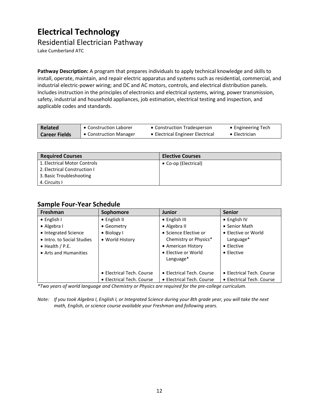## <span id="page-13-0"></span>**Electrical Technology**

<span id="page-13-1"></span>Residential Electrician Pathway

Lake Cumberland ATC

**Pathway Description:** A program that prepares individuals to apply technical knowledge and skills to install, operate, maintain, and repair electric apparatus and systems such as residential, commercial, and industrial electric-power wiring; and DC and AC motors, controls, and electrical distribution panels. Includes instruction in the principles of electronics and electrical systems, wiring, power transmission, safety, industrial and household appliances, job estimation, electrical testing and inspection, and applicable codes and standards.

| Related              | Construction Laborer   | • Construction Tradesperson      | • Engineering Tech    |
|----------------------|------------------------|----------------------------------|-----------------------|
| <b>Career Fields</b> | • Construction Manager | • Electrical Engineer Electrical | $\bullet$ Electrician |

| <b>Required Courses</b>      | <b>Elective Courses</b> |
|------------------------------|-------------------------|
| 1. Electrical Motor Controls | • Co-op (Electrical)    |
| 2. Electrical Construction I |                         |
| 3. Basic Troubleshooting     |                         |
| 4. Circuits I                |                         |

#### **Sample Four-Year Schedule**

| Freshman                   | Sophomore                 | <b>Junior</b>             | <b>Senior</b>             |
|----------------------------|---------------------------|---------------------------|---------------------------|
| $\bullet$ English I        | $\bullet$ English II      | • English III             | • English IV              |
| • Algebra I                | • Geometry                | • Algebra II              | • Senior Math             |
| • Integrated Science       | • Biology I               | • Science Elective or     | • Elective or World       |
| • Intro. to Social Studies | • World History           | Chemistry or Physics*     | Language*                 |
| $\bullet$ Health / P.E.    |                           | • American History        | $\bullet$ Elective        |
| • Arts and Humanities      |                           | • Elective or World       | $\bullet$ Elective        |
|                            |                           | Language*                 |                           |
|                            |                           |                           |                           |
|                            | • Electrical Tech. Course | • Electrical Tech. Course | • Electrical Tech. Course |
|                            | • Electrical Tech. Course | • Electrical Tech. Course | • Electrical Tech. Course |

*\*Two years of world language and Chemistry or Physics are required for the pre-college curriculum.*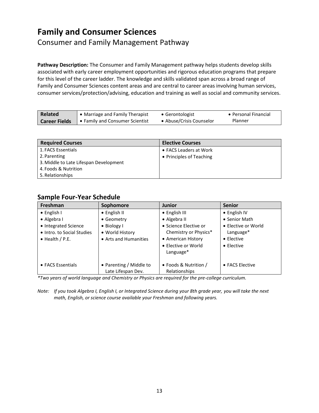## <span id="page-14-0"></span>**Family and Consumer Sciences**

### <span id="page-14-1"></span>Consumer and Family Management Pathway

**Pathway Description:** The Consumer and Family Management pathway helps students develop skills associated with early career employment opportunities and rigorous education programs that prepare for this level of the career ladder. The knowledge and skills validated span across a broad range of Family and Consumer Sciences content areas and are central to career areas involving human services, consumer services/protection/advising, education and training as well as social and community services.

| Related              | • Marriage and Family Therapist | • Gerontologist          | • Personal Financial |
|----------------------|---------------------------------|--------------------------|----------------------|
| <b>Career Fields</b> | Family and Consumer Scientist   | • Abuse/Crisis Counselor | Planner              |

| <b>Required Courses</b>                | <b>Elective Courses</b>  |
|----------------------------------------|--------------------------|
| 1. FACS Essentials                     | • FACS Leaders at Work   |
| 2. Parenting                           | • Principles of Teaching |
| 3. Middle to Late Lifespan Development |                          |
| 4. Foods & Nutrition                   |                          |
| 5. Relationships                       |                          |

#### **Sample Four-Year Schedule**

| Freshman                   | Sophomore               | <b>Junior</b>                    | <b>Senior</b>        |
|----------------------------|-------------------------|----------------------------------|----------------------|
| $\bullet$ English I        | $\bullet$ English II    | • English III                    | $\bullet$ English IV |
| • Algebra I                | • Geometry              | • Algebra II                     | • Senior Math        |
| • Integrated Science       | • Biology I             | • Science Elective or            | • Elective or World  |
| • Intro. to Social Studies | • World History         | Chemistry or Physics*            | Language*            |
| $\bullet$ Health / P.E.    | • Arts and Humanities   | • American History               | $\bullet$ Elective   |
|                            |                         | • Elective or World<br>Language* | $\bullet$ Elective   |
|                            |                         |                                  |                      |
| • FACS Essentials          | • Parenting / Middle to | • Foods & Nutrition /            | • FACS Elective      |
|                            | Late Lifespan Dev.      | Relationships                    |                      |

*\*Two years of world language and Chemistry or Physics are required for the pre-college curriculum.*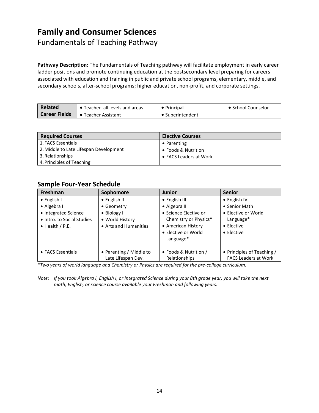## **Family and Consumer Sciences**

<span id="page-15-0"></span>Fundamentals of Teaching Pathway

**Pathway Description:** The Fundamentals of Teaching pathway will facilitate employment in early career ladder positions and promote continuing education at the postsecondary level preparing for careers associated with education and training in public and private school programs, elementary, middle, and secondary schools, after-school programs; higher education, non-profit, and corporate settings.

| Related       | • Teacher-all levels and areas | $\bullet$ Principal | • School Counselor |
|---------------|--------------------------------|---------------------|--------------------|
| Career Fields | <b>■ Teacher Assistant</b>     | • Superintendent    |                    |

| <b>Required Courses</b>                | <b>Elective Courses</b> |
|----------------------------------------|-------------------------|
| 1. FACS Essentials                     | $\bullet$ Parenting     |
| 2. Middle to Late Lifespan Development | • Foods & Nutrition     |
| 3. Relationships                       | • FACS Leaders at Work  |
| 4. Principles of Teaching              |                         |

### **Sample Four-Year Schedule**

| Freshman                   | Sophomore               | <b>Junior</b>         | <b>Senior</b>               |
|----------------------------|-------------------------|-----------------------|-----------------------------|
| $\bullet$ English I        | • English II            | • English III         | $\bullet$ English IV        |
| • Algebra I                | • Geometry              | • Algebra II          | • Senior Math               |
| • Integrated Science       | $\bullet$ Biology I     | • Science Elective or | • Elective or World         |
| • Intro. to Social Studies | • World History         | Chemistry or Physics* | Language*                   |
| $\bullet$ Health / P.E.    | • Arts and Humanities   | • American History    | $\bullet$ Elective          |
|                            |                         | • Elective or World   | $\bullet$ Elective          |
|                            |                         | Language*             |                             |
|                            |                         |                       |                             |
| • FACS Essentials          | • Parenting / Middle to | • Foods & Nutrition / | • Principles of Teaching /  |
|                            | Late Lifespan Dev.      | Relationships         | <b>FACS Leaders at Work</b> |

*\*Two years of world language and Chemistry or Physics are required for the pre-college curriculum.*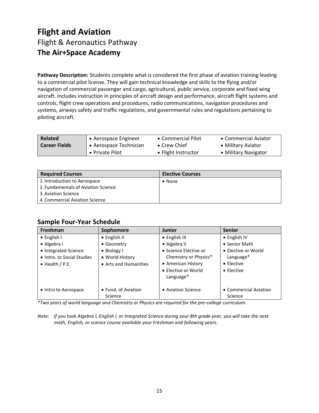### <span id="page-16-1"></span><span id="page-16-0"></span>**Flight and Aviation** Flight & Aeronautics Pathway **The Air+Space Academy**

**Pathway Description:** Students complete what is considered the first phase of aviation training leading to a commercial pilot license. They will gain technical knowledge and skills to the flying and/or navigation of commercial passenger and cargo, agricultural, public service, corporate and fixed wing aircraft. Includes instruction in principles of aircraft design and performance, aircraft flight systems and controls, flight crew operations and procedures, radio communications, navigation procedures and systems, airways safety and traffic regulations, and governmental rules and regulations pertaining to piloting aircraft.

| <b>Related</b>       | • Aerospace Engineer   | • Commercial Pilot   | • Commercial Aviator |
|----------------------|------------------------|----------------------|----------------------|
| <b>Career Fields</b> | • Aerospace Technician | $\bullet$ Crew Chief | • Military Aviator   |
|                      | • Private Pilot        | • Flight Instructor  | • Military Navigator |

| <b>Required Courses</b>             | <b>Elective Courses</b> |
|-------------------------------------|-------------------------|
| 1. Introduction to Aerospace        | $\bullet$ None          |
| 2. Fundamentals of Aviation Science |                         |
| 3. Aviation Science                 |                         |
| 4. Commercial Aviation Science      |                         |

#### **Sample Four-Year Schedule**

| <b>Freshman</b>            | Sophomore             | <b>Junior</b>         | <b>Senior</b>         |
|----------------------------|-----------------------|-----------------------|-----------------------|
| $\bullet$ English I        | $\bullet$ English II  | • English III         | $\bullet$ English IV  |
| • Algebra I                | • Geometry            | • Algebra II          | • Senior Math         |
| • Integrated Science       | • Biology I           | • Science Elective or | • Elective or World   |
| • Intro. to Social Studies | • World History       | Chemistry or Physics* | Language*             |
| $\bullet$ Health / P.E.    | • Arts and Humanities | • American History    | $\bullet$ Elective    |
|                            |                       | • Elective or World   | $\bullet$ Elective    |
|                            |                       | Language*             |                       |
|                            |                       |                       |                       |
| • Intro to Aerospace       | • Fund. of Aviation   | • Aviation Science    | • Commercial Aviation |
|                            | Science               |                       | Science               |

*\*Two years of world language and Chemistry or Physics are required for the pre-college curriculum.*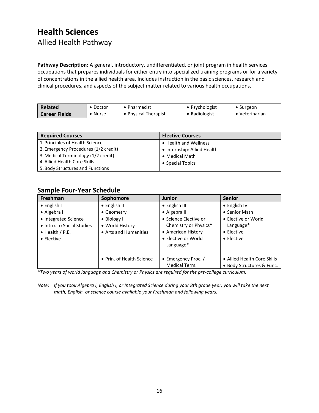### <span id="page-17-1"></span><span id="page-17-0"></span>**Health Sciences** Allied Health Pathway

**Pathway Description:** A general, introductory, undifferentiated, or joint program in health services occupations that prepares individuals for either entry into specialized training programs or for a variety of concentrations in the allied health area. Includes instruction in the basic sciences, research and clinical procedures, and aspects of the subject matter related to various health occupations.

| <b>Related</b>       | $\bullet$ Doctor | $\bullet$ Pharmacist | • Psychologist | • Surgeon              |
|----------------------|------------------|----------------------|----------------|------------------------|
| <b>Career Fields</b> | $\bullet$ Nurse  | • Physical Therapist | • Radiologist  | $\bullet$ Veterinarian |

| <b>Required Courses</b>              | <b>Elective Courses</b>     |
|--------------------------------------|-----------------------------|
| 1. Principles of Health Science      | • Health and Wellness       |
| 2. Emergency Procedures (1/2 credit) | • Internship: Allied Health |
| 3. Medical Terminology (1/2 credit)  | • Medical Math              |
| 4. Allied Health Core Skills         | • Special Topics            |
| 5. Body Structures and Functions     |                             |

### **Sample Four-Year Schedule**

| Freshman                   | Sophomore                 | <b>Junior</b>         | <b>Senior</b>               |
|----------------------------|---------------------------|-----------------------|-----------------------------|
| $\bullet$ English I        | $\bullet$ English II      | • English III         | • English IV                |
| • Algebra I                | • Geometry                | • Algebra II          | • Senior Math               |
| • Integrated Science       | • Biology I               | • Science Elective or | • Elective or World         |
| • Intro. to Social Studies | • World History           | Chemistry or Physics* | Language*                   |
| $\bullet$ Health / P.E.    | • Arts and Humanities     | • American History    | $\bullet$ Elective          |
| • Elective                 |                           | • Elective or World   | $\bullet$ Elective          |
|                            |                           | Language*             |                             |
|                            |                           |                       |                             |
|                            | • Prin. of Health Science | • Emergency Proc. /   | • Allied Health Core Skills |
|                            |                           | Medical Term.         | • Body Structures & Func.   |

*\*Two years of world language and Chemistry or Physics are required for the pre-college curriculum.*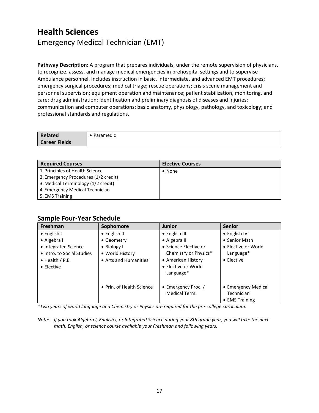### <span id="page-18-0"></span>**Health Sciences** Emergency Medical Technician (EMT)

**Pathway Description:** A program that prepares individuals, under the remote supervision of physicians, to recognize, assess, and manage medical emergencies in prehospital settings and to supervise Ambulance personnel. Includes instruction in basic, intermediate, and advanced EMT procedures; emergency surgical procedures; medical triage; rescue operations; crisis scene management and personnel supervision; equipment operation and maintenance; patient stabilization, monitoring, and care; drug administration; identification and preliminary diagnosis of diseases and injuries; communication and computer operations; basic anatomy, physiology, pathology, and toxicology; and professional standards and regulations.

| <b>Related</b>       | Paramedic |
|----------------------|-----------|
| <b>Career Fields</b> |           |

| <b>Required Courses</b>              | <b>Elective Courses</b> |
|--------------------------------------|-------------------------|
| 1. Principles of Health Science      | $\bullet$ None          |
| 2. Emergency Procedures (1/2 credit) |                         |
| 3. Medical Terminology (1/2 credit)  |                         |
| 4. Emergency Medical Technician      |                         |
| 5. EMS Training                      |                         |

#### **Sample Four-Year Schedule**

| Freshman                   | Sophomore                 | <b>Junior</b>         | <b>Senior</b>       |
|----------------------------|---------------------------|-----------------------|---------------------|
| $\bullet$ English I        | • English II              | • English III         | • English IV        |
| • Algebra I                | • Geometry                | • Algebra II          | • Senior Math       |
| • Integrated Science       | • Biology I               | • Science Elective or | • Elective or World |
| • Intro. to Social Studies | • World History           | Chemistry or Physics* | Language*           |
| $\bullet$ Health / P.E.    | • Arts and Humanities     | • American History    | $\bullet$ Elective  |
| $\bullet$ Elective         |                           | • Elective or World   |                     |
|                            |                           | Language*             |                     |
|                            |                           |                       |                     |
|                            | • Prin. of Health Science | • Emergency Proc. /   | • Emergency Medical |
|                            |                           | Medical Term.         | Technician          |
|                            |                           |                       | • EMS Training      |

*\*Two years of world language and Chemistry or Physics are required for the pre-college curriculum.*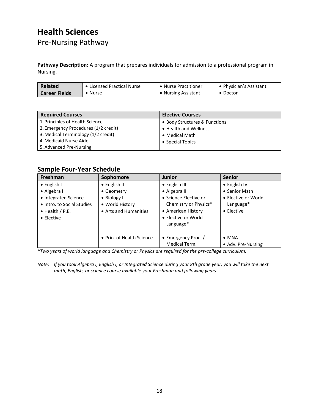# **Health Sciences**

<span id="page-19-0"></span>Pre-Nursing Pathway

**Pathway Description:** A program that prepares individuals for admission to a professional program in Nursing.

| <b>Related</b>       | • Licensed Practical Nurse | • Nurse Practitioner | • Physician's Assistant |
|----------------------|----------------------------|----------------------|-------------------------|
| <b>Career Fields</b> | • Nurse                    | • Nursing Assistant  | • Doctor                |

| <b>Required Courses</b>              | <b>Elective Courses</b>       |
|--------------------------------------|-------------------------------|
| 1. Principles of Health Science      | • Body Structures & Functions |
| 2. Emergency Procedures (1/2 credit) | • Health and Wellness         |
| 3. Medical Terminology (1/2 credit)  | • Medical Math                |
| 4. Medicaid Nurse Aide               | • Special Topics              |
| 5. Advanced Pre-Nursing              |                               |

#### **Sample Four-Year Schedule**

| Freshman                                           | Sophomore                      | <b>Junior</b>                                                      | <b>Senior</b>                       |
|----------------------------------------------------|--------------------------------|--------------------------------------------------------------------|-------------------------------------|
| $\bullet$ English I                                | • English II                   | • English III                                                      | • English IV                        |
| • Algebra I                                        | • Geometry                     | • Algebra II                                                       | • Senior Math                       |
| • Integrated Science<br>• Intro. to Social Studies | • Biology I<br>• World History | • Science Elective or<br>Chemistry or Physics*                     | • Elective or World<br>Language*    |
| $\bullet$ Health / P.E.<br>$\bullet$ Elective      | • Arts and Humanities          | • American History<br>• Elective or World<br>Language <sup>*</sup> | $\bullet$ Elective                  |
|                                                    | • Prin. of Health Science      | • Emergency Proc. /<br>Medical Term.                               | $\bullet$ MNA<br>• Adv. Pre-Nursing |

*\*Two years of world language and Chemistry or Physics are required for the pre-college curriculum.*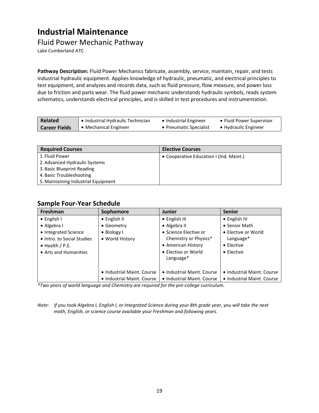### <span id="page-20-0"></span>**Industrial Maintenance**

#### <span id="page-20-1"></span>Fluid Power Mechanic Pathway

Lake Cumberland ATC

**Pathway Description:** Fluid Power Mechanics fabricate, assembly, service, maintain, repair, and tests industrial hydraulic equipment. Applies knowledge of hydraulic, pneumatic, and electrical principles to test equipment, and analyzes and records data, such as fluid pressure, flow measure, and power loss due to friction and parts wear. The fluid power mechanic understands hydraulic symbols, reads system schematics, understands electrical principles, and is skilled in test procedures and instrumentation.

| <b>Related</b>       | ● Industrial Hydraulic Technician | • Industrial Engineer  | • Fluid Power Supervisor |
|----------------------|-----------------------------------|------------------------|--------------------------|
| <b>Career Fields</b> | • Mechanical Engineer             | • Pneumatic Specialist | • Hydraulic Engineer     |

| <b>Required Courses</b>             | <b>Elective Courses</b>                 |
|-------------------------------------|-----------------------------------------|
| 1. Fluid Power                      | • Cooperative Education I (Ind. Maint.) |
| 2. Advanced Hydraulic Systems       |                                         |
| 3. Basic Blueprint Reading          |                                         |
| 4. Basic Troubleshooting            |                                         |
| 5. Maintaining Industrial Equipment |                                         |

#### **Sample Four-Year Schedule**

| Freshman                   | Sophomore                  | <b>Junior</b>              | <b>Senior</b>              |
|----------------------------|----------------------------|----------------------------|----------------------------|
| • English I                | • English II               | • English III              | • English IV               |
| • Algebra I                | • Geometry                 | • Algebra II               | • Senior Math              |
| • Integrated Science       | • Biology I                | • Science Elective or      | • Elective or World        |
| • Intro. to Social Studies | • World History            | Chemistry or Physics*      | Language*                  |
| $\bullet$ Health / P.E.    |                            | • American History         | $\bullet$ Elective         |
| • Arts and Humanities      |                            | • Elective or World        | $\bullet$ Elective         |
|                            |                            | Language*                  |                            |
|                            |                            |                            |                            |
|                            | • Industrial Maint, Course | • Industrial Maint, Course | • Industrial Maint, Course |
|                            | • Industrial Maint, Course | • Industrial Maint. Course | • Industrial Maint. Course |

*\*Two years of world language and Chemistry are required for the pre-college curriculum.*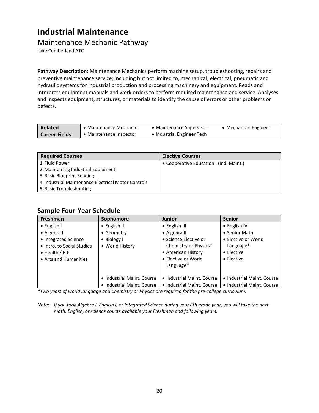### **Industrial Maintenance**

### <span id="page-21-0"></span>Maintenance Mechanic Pathway

Lake Cumberland ATC

**Pathway Description:** Maintenance Mechanics perform machine setup, troubleshooting, repairs and preventive maintenance service; including but not limited to, mechanical, electrical, pneumatic and hydraulic systems for industrial production and processing machinery and equipment. Reads and interprets equipment manuals and work orders to perform required maintenance and service. Analyses and inspects equipment, structures, or materials to identify the cause of errors or other problems or defects.

| <b>Related</b>       | • Maintenance Mechanic  | • Maintenance Supervisor   | • Mechanical Engineer |
|----------------------|-------------------------|----------------------------|-----------------------|
| <b>Career Fields</b> | • Maintenance Inspector | • Industrial Engineer Tech |                       |

| <b>Required Courses</b>                             | <b>Elective Courses</b>                 |
|-----------------------------------------------------|-----------------------------------------|
| 1. Fluid Power                                      | • Cooperative Education I (Ind. Maint.) |
| 2. Maintaining Industrial Equipment                 |                                         |
| 3. Basic Blueprint Reading                          |                                         |
| 4. Industrial Maintenance Electrical Motor Controls |                                         |
| 5. Basic Troubleshooting                            |                                         |

#### **Sample Four-Year Schedule**

| Freshman                   | Sophomore                  | <b>Junior</b>              | <b>Senior</b>              |
|----------------------------|----------------------------|----------------------------|----------------------------|
| $\bullet$ English I        | $\bullet$ English II       | • English III              | $\bullet$ English IV       |
| • Algebra I                | • Geometry                 | • Algebra II               | • Senior Math              |
| • Integrated Science       | • Biology I                | • Science Elective or      | • Elective or World        |
| • Intro. to Social Studies | • World History            | Chemistry or Physics*      | Language*                  |
| $\bullet$ Health / P.E.    |                            | • American History         | • Elective                 |
| • Arts and Humanities      |                            | • Elective or World        | $\bullet$ Elective         |
|                            |                            | Language*                  |                            |
|                            |                            |                            |                            |
|                            | • Industrial Maint, Course | • Industrial Maint. Course | • Industrial Maint. Course |
|                            | • Industrial Maint, Course | • Industrial Maint, Course | • Industrial Maint. Course |

*\*Two years of world language and Chemistry or Physics are required for the pre-college curriculum.*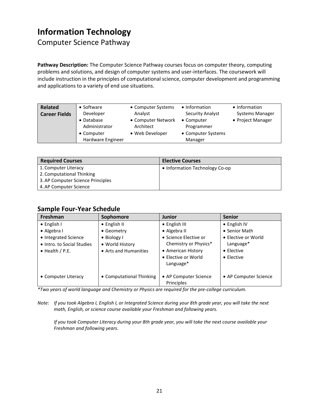### <span id="page-22-0"></span>**Information Technology**

<span id="page-22-1"></span>Computer Science Pathway

**Pathway Description:** The Computer Science Pathway courses focus on computer theory, computing problems and solutions, and design of computer systems and user-interfaces. The coursework will include instruction in the principles of computational science, computer development and programming and applications to a variety of end use situations.

| Related<br>• Software<br>Developer<br><b>Career Fields</b><br>• Database<br>Administrator<br>• Computer<br>Hardware Engineer | • Computer Systems<br>Analyst<br>• Computer Network<br>Architect<br>• Web Developer | • Information<br><b>Security Analyst</b><br>• Computer<br>Programmer<br>• Computer Systems<br>Manager | • Information<br>Systems Manager<br>• Project Manager |
|------------------------------------------------------------------------------------------------------------------------------|-------------------------------------------------------------------------------------|-------------------------------------------------------------------------------------------------------|-------------------------------------------------------|
|------------------------------------------------------------------------------------------------------------------------------|-------------------------------------------------------------------------------------|-------------------------------------------------------------------------------------------------------|-------------------------------------------------------|

| <b>Required Courses</b>           | <b>Elective Courses</b>        |
|-----------------------------------|--------------------------------|
| 1. Computer Literacy              | • Information Technology Co-op |
| 2. Computational Thinking         |                                |
| 3. AP Computer Science Principles |                                |
| 4. AP Computer Science            |                                |

#### **Sample Four-Year Schedule**

| Freshman                   | Sophomore                | <b>Junior</b>         | <b>Senior</b>         |
|----------------------------|--------------------------|-----------------------|-----------------------|
| $\bullet$ English I        | $\bullet$ English II     | • English III         | $\bullet$ English IV  |
| • Algebra I                | • Geometry               | • Algebra II          | • Senior Math         |
| • Integrated Science       | $\bullet$ Biology I      | • Science Elective or | • Elective or World   |
| • Intro. to Social Studies | • World History          | Chemistry or Physics* | Language*             |
| $\bullet$ Health / P.E.    | • Arts and Humanities    | • American History    | $\bullet$ Elective    |
|                            |                          | • Elective or World   | $\bullet$ Elective    |
|                            |                          | Language*             |                       |
|                            |                          |                       |                       |
| • Computer Literacy        | • Computational Thinking | • AP Computer Science | • AP Computer Science |
|                            |                          | Principles            |                       |

*\*Two years of world language and Chemistry or Physics are required for the pre-college curriculum.*

*Note: If you took Algebra I, English I, or Integrated Science during your 8th grade year, you will take the next math, English, or science course available your Freshman and following years.*

*If you took Computer Literacy during your 8th grade year, you will take the next course available your Freshman and following years.*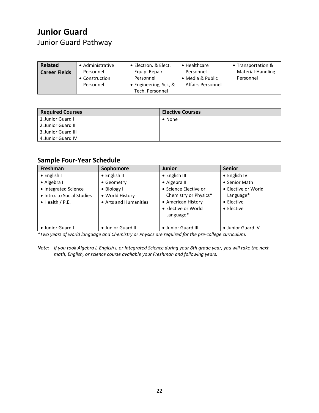# <span id="page-23-0"></span>**Junior Guard**

### <span id="page-23-1"></span>Junior Guard Pathway

| Related              | • Administrative                         | • Electron. & Elect.                                                    | $\bullet$ Healthcare                                      | • Transportation &             |
|----------------------|------------------------------------------|-------------------------------------------------------------------------|-----------------------------------------------------------|--------------------------------|
| <b>Career Fields</b> | Personnel<br>• Construction<br>Personnel | Equip. Repair<br>Personnel<br>• Engineering, Sci., &<br>Tech. Personnel | Personnel<br>• Media & Public<br><b>Affairs Personnel</b> | Material-Handling<br>Personnel |

| <b>Required Courses</b> | <b>Elective Courses</b> |
|-------------------------|-------------------------|
| 1. Junior Guard I       | $\bullet$ None          |
| 2. Junior Guard II      |                         |
| 3. Junior Guard III     |                         |
| 4. Junior Guard IV      |                         |

### **Sample Four-Year Schedule**

| Freshman                                                                      | Sophomore                                                       | <b>Junior</b>                                                                                                        | <b>Senior</b>                                                                |
|-------------------------------------------------------------------------------|-----------------------------------------------------------------|----------------------------------------------------------------------------------------------------------------------|------------------------------------------------------------------------------|
| $\bullet$ English I                                                           | $\bullet$ English II                                            | $\bullet$ English III                                                                                                | $\bullet$ English IV                                                         |
| $\bullet$ Algebra I                                                           | • Geometry                                                      | • Algebra II                                                                                                         | • Senior Math                                                                |
| • Integrated Science<br>• Intro, to Social Studies<br>$\bullet$ Health / P.E. | $\bullet$ Biology I<br>• World History<br>• Arts and Humanities | • Science Elective or<br>Chemistry or Physics*<br>• American History<br>• Elective or World<br>Language <sup>*</sup> | • Elective or World<br>Language*<br>$\bullet$ Elective<br>$\bullet$ Elective |
| • Junior Guard I                                                              | • Junior Guard II                                               | • Junior Guard III                                                                                                   | • Junior Guard IV                                                            |

*\*Two years of world language and Chemistry or Physics are required for the pre-college curriculum.*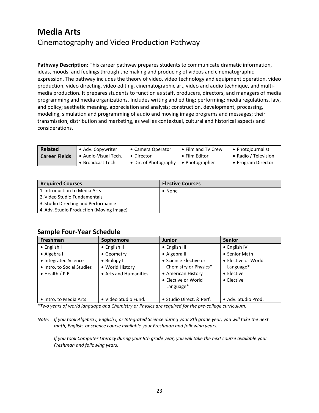### <span id="page-24-1"></span><span id="page-24-0"></span>**Media Arts** Cinematography and Video Production Pathway

**Pathway Description:** This career pathway prepares students to communicate dramatic information, ideas, moods, and feelings through the making and producing of videos and cinematographic expression. The pathway includes the theory of video, video technology and equipment operation, video production, video directing, video editing, cinematographic art, video and audio technique, and multimedia production. It prepares students to function as staff, producers, directors, and managers of media programming and media organizations. Includes writing and editing; performing; media regulations, law, and policy; aesthetic meaning, appreciation and analysis; construction, development, processing, modeling, simulation and programming of audio and moving image programs and messages; their transmission, distribution and marketing, as well as contextual, cultural and historical aspects and considerations.

| <b>Related</b>       | • Adv. Copywriter    | • Camera Operator     | • Film and TV Crew    | • Photojournalist    |
|----------------------|----------------------|-----------------------|-----------------------|----------------------|
| <b>Career Fields</b> | • Audio-Visual Tech. | $\bullet$ Director    | $\bullet$ Film Editor | • Radio / Television |
|                      | • Broadcast Tech.    | • Dir. of Photography | • Photographer        | • Program Director   |

| <b>Required Courses</b>                  | <b>Elective Courses</b> |
|------------------------------------------|-------------------------|
| 1. Introduction to Media Arts            | $\bullet$ None          |
| 2. Video Studio Fundamentals             |                         |
| 3. Studio Directing and Performance      |                         |
| 4. Adv. Studio Production (Moving Image) |                         |

#### **Sample Four-Year Schedule**

| <b>Freshman</b>                                                               | Sophomore                                                       | <b>Junior</b>                                                                                            | <b>Senior</b>                                                                |
|-------------------------------------------------------------------------------|-----------------------------------------------------------------|----------------------------------------------------------------------------------------------------------|------------------------------------------------------------------------------|
| $\bullet$ English I                                                           | • English II                                                    | • English III                                                                                            | • English IV                                                                 |
| • Algebra I                                                                   | • Geometry                                                      | • Algebra II                                                                                             | • Senior Math                                                                |
| • Integrated Science<br>• Intro. to Social Studies<br>$\bullet$ Health / P.E. | $\bullet$ Biology I<br>• World History<br>• Arts and Humanities | • Science Elective or<br>Chemistry or Physics*<br>• American History<br>• Elective or World<br>Language* | • Elective or World<br>Language*<br>$\bullet$ Elective<br>$\bullet$ Elective |
| • Intro. to Media Arts                                                        | • Video Studio Fund.                                            | • Studio Direct. & Perf.                                                                                 | • Adv. Studio Prod.                                                          |

*\*Two years of world language and Chemistry or Physics are required for the pre-college curriculum.*

*Note: If you took Algebra I, English I, or Integrated Science during your 8th grade year, you will take the next math, English, or science course available your Freshman and following years.*

*If you took Computer Literacy during your 8th grade year, you will take the next course available your Freshman and following years.*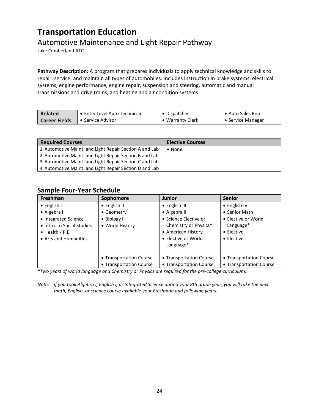### <span id="page-25-0"></span>**Transportation Education**

### <span id="page-25-1"></span>Automotive Maintenance and Light Repair Pathway

Lake Cumberland ATC

**Pathway Description:** A program that prepares individuals to apply technical knowledge and skills to repair, service, and maintain all types of automobiles. Includes instruction in brake systems, electrical systems, engine performance, engine repair, suspension and steering, automatic and manual transmissions and drive trains, and heating and air condition systems.

| <b>Related</b>       | • Entry Level Auto Technician | • Dispatcher     | • Auto Sales Rep  |
|----------------------|-------------------------------|------------------|-------------------|
| <b>Career Fields</b> | $\bullet$ Service Advisor     | • Warranty Clerk | • Service Manager |

| <b>Required Courses</b>                                 | <b>Elective Courses</b> |
|---------------------------------------------------------|-------------------------|
| 1. Automotive Maint, and Light Repair Section A and Lab | $\bullet$ None          |
| 2. Automotive Maint, and Light Repair Section B and Lab |                         |
| 3. Automotive Maint. and Light Repair Section C and Lab |                         |
| 4. Automotive Maint, and Light Repair Section D and Lab |                         |

#### **Sample Four-Year Schedule**

| Freshman                   | Sophomore               | <b>Junior</b>           | <b>Senior</b>           |
|----------------------------|-------------------------|-------------------------|-------------------------|
| $\bullet$ English I        | $\bullet$ English II    | • English III           | • English IV            |
| • Algebra I                | • Geometry              | • Algebra II            | • Senior Math           |
| • Integrated Science       | • Biology I             | • Science Elective or   | • Elective or World     |
| • Intro. to Social Studies | • World History         | Chemistry or Physics*   | Language*               |
| $\bullet$ Health / P.E.    |                         | • American History      | $\bullet$ Elective      |
| • Arts and Humanities      |                         | • Elective or World     | $\bullet$ Elective      |
|                            |                         | Language*               |                         |
|                            |                         |                         |                         |
|                            | • Transportation Course | • Transportation Course | • Transportation Course |
|                            | • Transportation Course | • Transportation Course | • Transportation Course |

*\*Two years of world language and Chemistry or Physics are required for the pre-college curriculum.*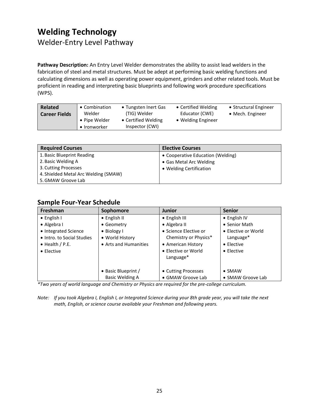# <span id="page-26-0"></span>**Welding Technology**

<span id="page-26-1"></span>Welder-Entry Level Pathway

**Pathway Description:** An Entry Level Welder demonstrates the ability to assist lead welders in the fabrication of steel and metal structures. Must be adept at performing basic welding functions and calculating dimensions as well as operating power equipment, grinders and other related tools. Must be proficient in reading and interpreting basic blueprints and following work procedure specifications (WPS).

| <b>Related</b>       | • Combination | • Tungsten Inert Gas | • Certified Welding | • Structural Engineer |
|----------------------|---------------|----------------------|---------------------|-----------------------|
| <b>Career Fields</b> | Welder        | (TIG) Welder         | Educator (CWE)      | • Mech. Engineer      |
|                      | • Pipe Welder | • Certified Welding  | • Welding Engineer  |                       |
|                      | • Ironworker  | Inspector (CWI)      |                     |                       |

| <b>Required Courses</b>              | <b>Elective Courses</b>           |
|--------------------------------------|-----------------------------------|
| 1. Basic Blueprint Reading           | • Cooperative Education (Welding) |
| 2. Basic Welding A                   | • Gas Metal Arc Welding           |
| 3. Cutting Processes                 | • Welding Certification           |
| 4. Shielded Metal Arc Welding (SMAW) |                                   |
| 5. GMAW Groove Lab                   |                                   |

### **Sample Four-Year Schedule**

| <b>Freshman</b>            | Sophomore             | <b>Junior</b>         | <b>Senior</b>        |
|----------------------------|-----------------------|-----------------------|----------------------|
| $\bullet$ English I        | $\bullet$ English II  | • English III         | $\bullet$ English IV |
| • Algebra I                | • Geometry            | • Algebra II          | • Senior Math        |
| • Integrated Science       | • Biology I           | • Science Elective or | • Elective or World  |
| • Intro. to Social Studies | • World History       | Chemistry or Physics* | Language*            |
| $\bullet$ Health / P.E.    | • Arts and Humanities | • American History    | • Elective           |
| $\bullet$ Elective         |                       | • Elective or World   | • Elective           |
|                            |                       | Language*             |                      |
|                            |                       |                       |                      |
|                            | • Basic Blueprint /   | • Cutting Processes   | $\bullet$ SMAW       |
|                            | Basic Welding A       | • GMAW Groove Lab     | • SMAW Groove Lab    |

*\*Two years of world language and Chemistry or Physics are required for the pre-college curriculum.*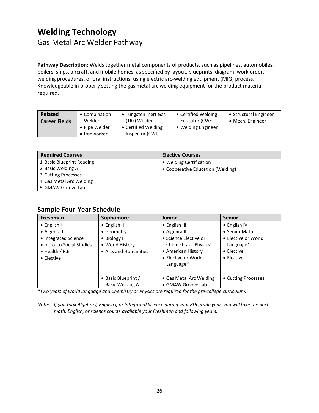### <span id="page-27-0"></span>**Welding Technology** Gas Metal Arc Welder Pathway

**Pathway Description:** Welds together metal components of products, such as pipelines, automobiles, boilers, ships, aircraft, and mobile homes, as specified by layout, blueprints, diagram, work order, welding procedures, or oral instructions, using electric arc-welding equipment (MIG) process. Knowledgeable in properly setting the gas metal arc welding equipment for the product material required.

| <b>Related</b>       | • Combination                 | • Tungsten Inert Gas                   | • Certified Welding | • Structural Engineer    |
|----------------------|-------------------------------|----------------------------------------|---------------------|--------------------------|
| <b>Career Fields</b> | Welder                        | (TIG) Welder                           | Educator (CWE)      | $\bullet$ Mech. Engineer |
|                      | • Pipe Welder<br>• Ironworker | • Certified Welding<br>Inspector (CWI) | • Welding Engineer  |                          |

| <b>Required Courses</b>    | <b>Elective Courses</b>           |
|----------------------------|-----------------------------------|
| 1. Basic Blueprint Reading | • Welding Certification           |
| 2. Basic Welding A         | • Cooperative Education (Welding) |
| 3. Cutting Processes       |                                   |
| 4. Gas Metal Arc Welding   |                                   |
| 5. GMAW Groove Lab         |                                   |

#### **Sample Four-Year Schedule**

| Freshman                   | Sophomore             | <b>Junior</b>           | <b>Senior</b>       |
|----------------------------|-----------------------|-------------------------|---------------------|
| $\bullet$ English I        | $\bullet$ English II  | • English III           | • English IV        |
| • Algebra I                | • Geometry            | • Algebra II            | • Senior Math       |
| • Integrated Science       | $\bullet$ Biology I   | • Science Elective or   | • Elective or World |
| • Intro. to Social Studies | • World History       | Chemistry or Physics*   | Language*           |
| $\bullet$ Health / P.E.    | • Arts and Humanities | • American History      | $\bullet$ Elective  |
| $\bullet$ Elective         |                       | • Elective or World     | • Elective          |
|                            |                       | Language*               |                     |
|                            |                       |                         |                     |
|                            | • Basic Blueprint /   | • Gas Metal Arc Welding | • Cutting Processes |
|                            | Basic Welding A       | • GMAW Groove Lab       |                     |

*\*Two years of world language and Chemistry or Physics are required for the pre-college curriculum.*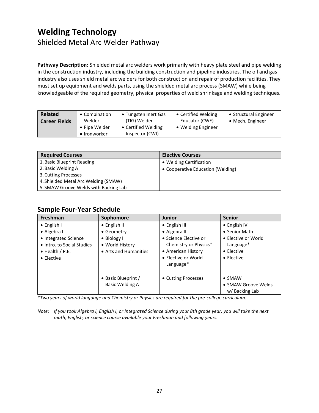### <span id="page-28-0"></span>**Welding Technology** Shielded Metal Arc Welder Pathway

**Pathway Description:** Shielded metal arc welders work primarily with heavy plate steel and pipe welding in the construction industry, including the building construction and pipeline industries. The oil and gas industry also uses shield metal arc welders for both construction and repair of production facilities. They must set up equipment and welds parts, using the shielded metal arc process (SMAW) while being knowledgeable of the required geometry, physical properties of weld shrinkage and welding techniques.

| <b>Related</b>       | • Combination                 | • Tungsten Inert Gas                   | • Certified Welding | • Structural Engineer    |
|----------------------|-------------------------------|----------------------------------------|---------------------|--------------------------|
| <b>Career Fields</b> | Welder                        | (TIG) Welder                           | Educator (CWE)      | $\bullet$ Mech. Engineer |
|                      | • Pipe Welder<br>• Ironworker | • Certified Welding<br>Inspector (CWI) | • Welding Engineer  |                          |

| <b>Required Courses</b>               | <b>Elective Courses</b>           |
|---------------------------------------|-----------------------------------|
| 1. Basic Blueprint Reading            | • Welding Certification           |
| 2. Basic Welding A                    | • Cooperative Education (Welding) |
| 3. Cutting Processes                  |                                   |
| 4. Shielded Metal Arc Welding (SMAW)  |                                   |
| 5. SMAW Groove Welds with Backing Lab |                                   |

#### **Sample Four-Year Schedule**

| <b>Freshman</b>            | Sophomore             | <b>Junior</b>         | <b>Senior</b>        |
|----------------------------|-----------------------|-----------------------|----------------------|
| $\bullet$ English I        | $\bullet$ English II  | • English III         | $\bullet$ English IV |
| $\bullet$ Algebra I        | • Geometry            | • Algebra II          | • Senior Math        |
| • Integrated Science       | • Biology I           | • Science Elective or | • Elective or World  |
| • Intro. to Social Studies | • World History       | Chemistry or Physics* | Language*            |
| $\bullet$ Health / P.E.    | • Arts and Humanities | • American History    | $\bullet$ Elective   |
| $\bullet$ Elective         |                       | • Elective or World   | $\bullet$ Elective   |
|                            |                       | Language*             |                      |
|                            |                       |                       |                      |
|                            | • Basic Blueprint /   | • Cutting Processes   | $\bullet$ SMAW       |
|                            | Basic Welding A       |                       | • SMAW Groove Welds  |
|                            |                       |                       | w/Backing Lab        |

*\*Two years of world language and Chemistry or Physics are required for the pre-college curriculum.*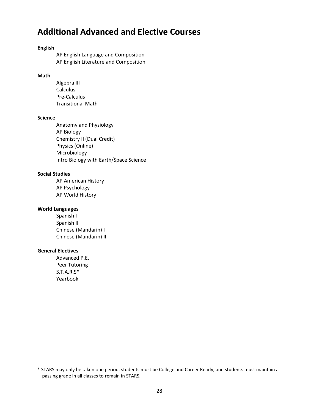### <span id="page-29-0"></span>**Additional Advanced and Elective Courses**

#### **English**

AP English Language and Composition AP English Literature and Composition

#### **Math**

Algebra III Calculus Pre-Calculus Transitional Math

#### **Science**

Anatomy and Physiology AP Biology Chemistry II (Dual Credit) Physics (Online) Microbiology Intro Biology with Earth/Space Science

#### **Social Studies**

AP American History AP Psychology AP World History

#### **World Languages**

Spanish I Spanish II Chinese (Mandarin) I Chinese (Mandarin) II

#### **General Electives**

Advanced P.E. Peer Tutoring S.T.A.R.S\* Yearbook

<sup>\*</sup> STARS may only be taken one period, students must be College and Career Ready, and students must maintain a passing grade in all classes to remain in STARS.